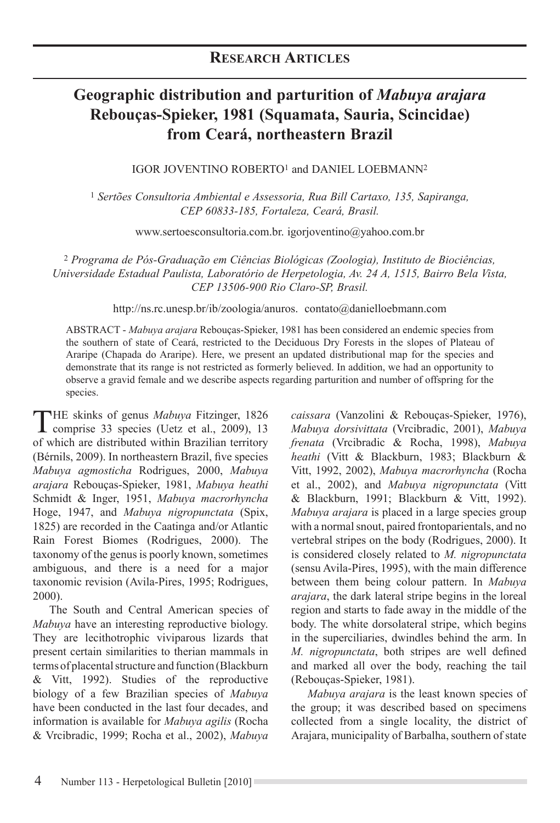# **Geographic distribution and parturition of** *Mabuya arajara*  **Rebouças-Spieker, 1981 (Squamata, Sauria, Scincidae) from Ceará, northeastern Brazil**

IGOR JOVENTINO ROBERTO1 and DANIEL LOEBMANN2

<sup>1</sup> *Sertões Consultoria Ambiental e Assessoria, Rua Bill Cartaxo, 135, Sapiranga, CEP 60833-185, Fortaleza, Ceará, Brasil.* 

www.sertoesconsultoria.com.br. igorjoventino@yahoo.com.br

<sup>2</sup> *Programa de Pós-Graduação em Ciências Biológicas (Zoologia), Instituto de Biociências, Universidade Estadual Paulista, Laboratório de Herpetologia, Av. 24 A, 1515, Bairro Bela Vista, CEP 13506-900 Rio Claro-SP, Brasil.* 

http://ns.rc.unesp.br/ib/zoologia/anuros. contato@danielloebmann.com

ABSTRACT - Mabuya arajara Rebouças-Spieker, 1981 has been considered an endemic species from the southern of state of Ceará, restricted to the Deciduous Dry Forests in the slopes of Plateau of Araripe (Chapada do Araripe). Here, we present an updated distributional map for the species and demonstrate that its range is not restricted as formerly believed. In addition, we had an opportunity to observe a gravid female and we describe aspects regarding parturition and number of offspring for the species.

THE skinks of genus *Mabuya* Fitzinger, 1826<br>comprise 33 species (Uetz et al., 2009), 13 of which are distributed within Brazilian territory (Bérnils, 2009). In northeastern Brazil, five species *Mabuya agmosticha* Rodrigues, 2000, *Mabuya arajara* Rebouças-Spieker, 1981, *Mabuya heathi* Schmidt & Inger, 1951, *Mabuya macrorhyncha* Hoge, 1947, and *Mabuya nigropunctata* (Spix, 1825) are recorded in the Caatinga and/or Atlantic Rain Forest Biomes (Rodrigues, 2000). The taxonomy of the genus is poorly known, sometimes ambiguous, and there is a need for a major taxonomic revision (Avila-Pires, 1995; Rodrigues, 2000).

The South and Central American species of *Mabuya* have an interesting reproductive biology. They are lecithotrophic viviparous lizards that present certain similarities to therian mammals in terms of placental structure and function (Blackburn & Vitt, 1992). Studies of the reproductive biology of a few Brazilian species of *Mabuya* have been conducted in the last four decades, and information is available for *Mabuya agilis* (Rocha & Vrcibradic, 1999; Rocha et al., 2002), Mabuya

*caissara* (Vanzolini & Rebouças-Spieker, 1976), *Mabuya dorsivittata* (Vrcibradic, 2001), *Mabuya frenata* (Vrcibradic & Rocha, 1998), *Mabuya heathi* (Vitt & Blackburn, 1983; Blackburn & Vitt, 1992, 2002), *Mabuya macrorhyncha* (Rocha et al., 2002), and *Mabuya nigropunctata* (Vitt & Blackburn, 1991; Blackburn & Vitt, 1992). *Mabuya arajara* is placed in a large species group with a normal snout, paired frontoparientals, and no vertebral stripes on the body (Rodrigues, 2000). It is considered closely related to *M. nigropunctata* (sensu Avila-Pires, 1995), with the main difference between them being colour pattern. In *Mabuya arajara*, the dark lateral stripe begins in the loreal region and starts to fade away in the middle of the body. The white dorsolateral stripe, which begins in the superciliaries, dwindles behind the arm. In *M. nigropunctata*, both stripes are well defined and marked all over the body, reaching the tail (Rebouças-Spieker, 1981).

*Mabuya arajara* is the least known species of the group; it was described based on specimens collected from a single locality, the district of Arajara, municipality of Barbalha, southern of state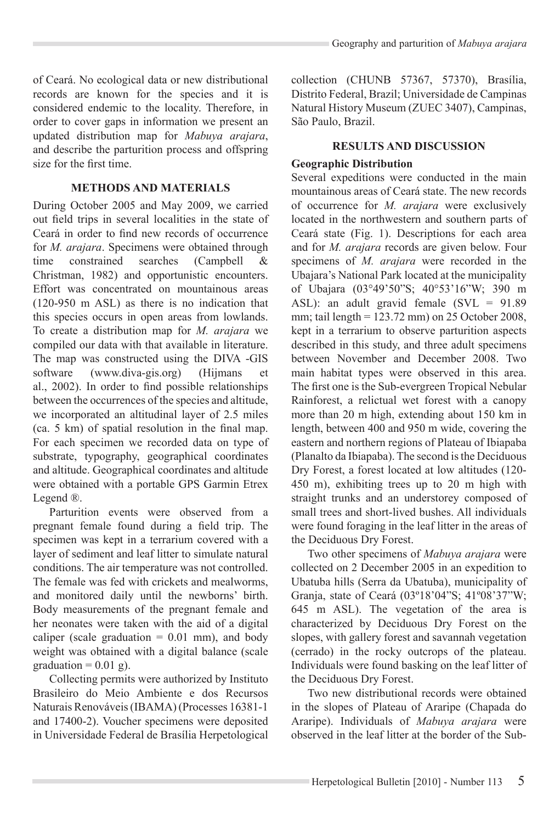of Ceará. No ecological data or new distributional records are known for the species and it is considered endemic to the locality. Therefore, in order to cover gaps in information we present an updated distribution map for *Mabuya arajara*, and describe the parturition process and offspring size for the first time

### **METHODS AND MATERIALS**

During October 2005 and May 2009, we carried out field trips in several localities in the state of Ceará in order to find new records of occurrence for *M. arajara*. Specimens were obtained through<br>time constrained searches (Campbell & time constrained searches (Campbell & Christman, 1982) and opportunistic encounters. Effort was concentrated on mountainous areas (120-950 m ASL) as there is no indication that this species occurs in open areas from lowlands. To create a distribution map for M. arajara we compiled our data with that available in literature. The map was constructed using the DIVA -GIS software (www.diva-gis.org) (Hijmans et al., 2002). In order to find possible relationships between the occurrences of the species and altitude. we incorporated an altitudinal layer of 2.5 miles  $(ca. 5 km)$  of spatial resolution in the final map. For each specimen we recorded data on type of substrate, typography, geographical coordinates and altitude. Geographical coordinates and altitude were obtained with a portable GPS Garmin Etrex Legend ®.

Parturition events were observed from a pregnant female found during a field trip. The specimen was kept in a terrarium covered with a layer of sediment and leaf litter to simulate natural conditions. The air temperature was not controlled. The female was fed with crickets and mealworms, and monitored daily until the newborns' birth. Body measurements of the pregnant female and her neonates were taken with the aid of a digital caliper (scale graduation  $= 0.01$  mm), and body weight was obtained with a digital balance (scale graduation =  $0.01$  g).

Collecting permits were authorized by Instituto Brasileiro do Meio Ambiente e dos Recursos Naturais Renováveis (IBAMA) (Processes 16381-1 and 17400-2). Voucher specimens were deposited in Universidade Federal de Brasília Herpetological

collection (CHUNB 57367, 57370), Brasília, Distrito Federal, Brazil: Universidade de Campinas Natural History Museum (ZUEC 3407), Campinas, São Paulo, Brazil.

## **RESULTS AND DISCUSSION**

#### **Geographic Distribution**

Several expeditions were conducted in the main mountainous areas of Ceará state. The new records of occurrence for *M. arajara* were exclusively located in the northwestern and southern parts of Ceará state (Fig. 1). Descriptions for each area and for *M. arajara* records are given below. Four specimens of M. *arajara* were recorded in the Ubajara's National Park located at the municipality of Ubajara (03°49'50"S; 40°53'16"W; 390 m ASL): an adult gravid female  $(SVL = 91.89$ mm; tail length =  $123.72$  mm) on 25 October 2008, kept in a terrarium to observe parturition aspects described in this study, and three adult specimens between November and December 2008. Two main habitat types were observed in this area. The first one is the Sub-evergreen Tropical Nebular Rainforest, a relictual wet forest with a canopy more than 20 m high, extending about 150 km in length, between 400 and 950 m wide, covering the eastern and northern regions of Plateau of Ibiapaba (Planalto da Ibiapaba). The second is the Deciduous Dry Forest, a forest located at low altitudes (120-450 m), exhibiting trees up to 20 m high with straight trunks and an understorey composed of small trees and short-lived bushes. All individuals were found foraging in the leaf litter in the areas of the Deciduous Dry Forest.

Two other specimens of *Mabuya arajara* were collected on 2 December 2005 in an expedition to Ubatuba hills (Serra da Ubatuba), municipality of Granja, state of Ceará (03°18'04"S; 41°08'37"W;  $645$  m ASL). The vegetation of the area is characterized by Deciduous Dry Forest on the slopes, with gallery forest and savannah vegetation  $(cerrado)$  in the rocky outcrops of the plateau. Individuals were found basking on the leaf litter of the Deciduous Dry Forest.

Two new distributional records were obtained in the slopes of Plateau of Araripe (Chapada do Araripe). Individuals of *Mabuya arajara* were observed in the leaf litter at the border of the Sub-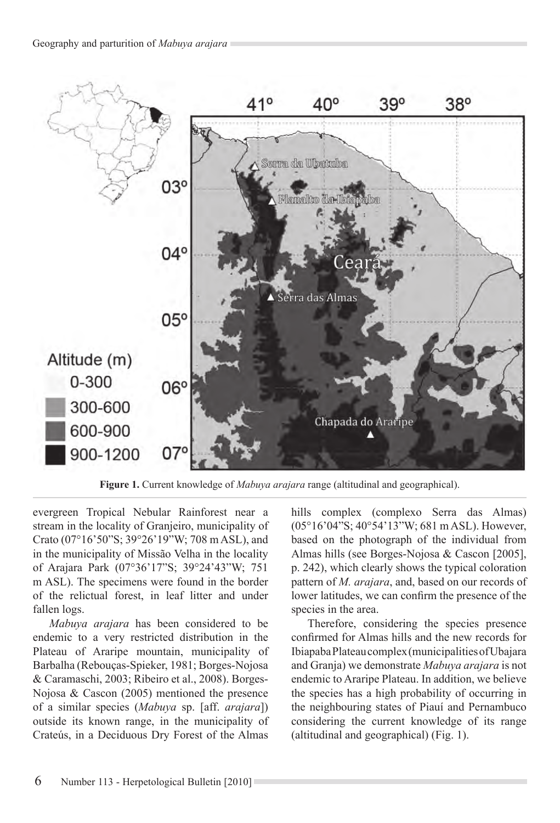

Figure 1. Current knowledge of *Mabuya arajara* range (altitudinal and geographical).

evergreen Tropical Nebular Rainforest near a stream in the locality of Granjeiro, municipality of Crato (07°16'50"S; 39°26'19"W; 708 m ASL), and in the municipality of Missão Velha in the locality of Arajara Park (07°36'17"S; 39°24'43"W; 751 m ASL). The specimens were found in the border of the relictual forest, in leaf litter and under fallen logs.

*Mabuya arajara* has been considered to be endemic to a very restricted distribution in the Plateau of Araripe mountain, municipality of Barbalha (Rebouças-Spieker, 1981; Borges-Nojosa & Caramaschi, 2003; Ribeiro et al., 2008). Borges-Nojosa & Cascon (2005) mentioned the presence of a similar species (Mabuya sp. [aff. *arajara*]) outside its known range, in the municipality of Crateús, in a Deciduous Dry Forest of the Almas

hills complex (complexo Serra das Almas)  $(05^{\circ}16'04"$ S:  $40^{\circ}54'13"$ W: 681 m ASL). However, based on the photograph of the individual from Almas hills (see Borges-Nojosa & Cascon [2005], p. 242), which clearly shows the typical coloration pattern of *M. arajara*, and, based on our records of lower latitudes, we can confirm the presence of the species in the area.

Therefore, considering the species presence confirmed for Almas hills and the new records for Ibiapaba Plateau complex (municipalities of Ubajara and Granja) we demonstrate *Mabuya arajara* is not endemic to Araripe Plateau. In addition, we believe the species has a high probability of occurring in the neighbouring states of Piauí and Pernambuco considering the current knowledge of its range (altitudinal and geographical) (Fig. 1).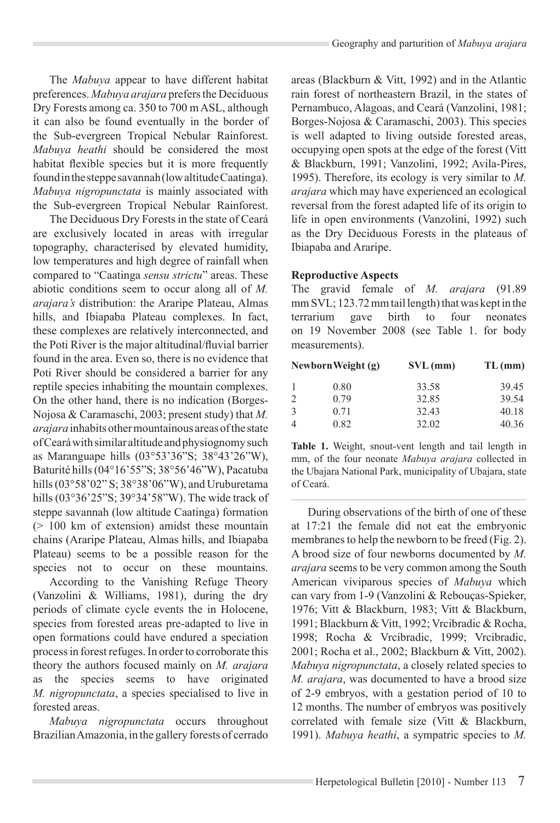The *Mabuya* appear to have different habitat preferences. Mabuya arajara prefers the Deciduous Dry Forests among ca. 350 to 700 m ASL, although it can also be found eventually in the border of the Sub-evergreen Tropical Nebular Rainforest. *Mabuya heathi* should be considered the most habitat flexible species but it is more frequently found in the steppe savannah (low altitude Caatinga). *Mabuya nigropunctata* is mainly associated with the Sub-evergreen Tropical Nebular Rainforest.

The Deciduous Dry Forests in the state of Ceará are exclusively located in areas with irregular topography, characterised by elevated humidity, low temperatures and high degree of rainfall when compared to "Caatinga *sensu strictu*" areas. These abiotic conditions seem to occur along all of M. *arajara's* distribution: the Araripe Plateau, Almas hills, and Ibiapaba Plateau complexes. In fact, these complexes are relatively interconnected, and the Poti River is the major altitudinal/fluvial barrier found in the area. Even so, there is no evidence that Poti River should be considered a barrier for any reptile species inhabiting the mountain complexes. On the other hand, there is no indication (Borges-Nojosa & Caramaschi, 2003; present study) that M. *arajara* inhabits other mountainous areas of the state of Ceará with similar altitude and physiognomy such as Maranguape hills  $(03^{\circ}53'36''S; 38^{\circ}43'26''W)$ , Baturité hills (04°16'55"S; 38°56'46"W), Pacatuba hills  $(03°58'02"$  S;  $38°38'06"$ W), and Uruburetama hills  $(03°36'25"S; 39°34'58"W)$ . The wide track of steppe savannah (low altitude Caatinga) formation  $(> 100$  km of extension) amidst these mountain chains (Araripe Plateau, Almas hills, and Ibiapaba Plateau) seems to be a possible reason for the species not to occur on these mountains.

According to the Vanishing Refuge Theory (Vanzolini & Williams, 1981), during the dry periods of climate cycle events the in Holocene. species from forested areas pre-adapted to live in open formations could have endured a speciation process in forest refuges. In order to corroborate this theory the authors focused mainly on M. arajara as the species seems to have originated *M. nigropunctata*, a species specialised to live in forested areas.

*Mabuya nigropunctata* occurs throughout Brazilian Amazonia, in the gallery forests of cerrado

areas (Blackburn & Vitt, 1992) and in the Atlantic rain forest of northeastern Brazil, in the states of Pernambuco, Alagoas, and Ceará (Vanzolini, 1981; Borges-Nojosa & Caramaschi, 2003). This species is well adapted to living outside forested areas, occupying open spots at the edge of the forest (Vitt & Blackburn, 1991; Vanzolini, 1992; Avila-Pires, 1995). Therefore, its ecology is very similar to M. *arajara* which may have experienced an ecological reversal from the forest adapted life of its origin to life in open environments (Vanzolini, 1992) such as the Dry Deciduous Forests in the plateaus of Ibiapaba and Araripe.

#### **Reproductive Aspects**

The gravid female of *M. arajara* (91.89)  $mm$  SVL; 123.72 mm tail length) that was kept in the terrarium gave birth to four neonates on 19 November 2008 (see Table 1. for body measurements).

| Newborn Weight (g) |      | $SVL$ (mm) | $TL$ (mm) |
|--------------------|------|------------|-----------|
|                    | 0.80 | 33.58      | 39.45     |
| $\mathcal{L}$      | 0.79 | 32.85      | 39.54     |
| $\mathcal{E}$      | 0.71 | 32.43      | 40.18     |
| 4                  | 0.82 | 32.02      | 40.36     |

**Table 1.** Weight, snout-vent length and tail length in mm, of the four neonate Mabuya arajara collected in the Ubajara National Park, municipality of Ubajara, state of Ceará.

During observations of the birth of one of these at  $17:21$  the female did not eat the embryonic membranes to help the newborn to be freed  $(Fig, 2)$ . A brood size of four newborns documented by M. *arajara* seems to be very common among the South American viviparous species of Mabuya which can vary from 1-9 (Vanzolini & Reboucas-Spieker, 1976; Vitt & Blackburn, 1983; Vitt & Blackburn, 1991; Blackburn & Vitt, 1992; Vrcibradic & Rocha, 1998; Rocha & Vrcibradic, 1999; Vrcibradic, 2001; Rocha et al., 2002; Blackburn & Vitt, 2002). *Mabuya nigropunctata*, a closely related species to *M. arajara*, was documented to have a brood size of 2-9 embryos, with a gestation period of 10 to 12 months. The number of embryos was positively correlated with female size (Vitt  $& Blackburn.$ 1991). *Mabuya heathi*, a sympatric species to *M.*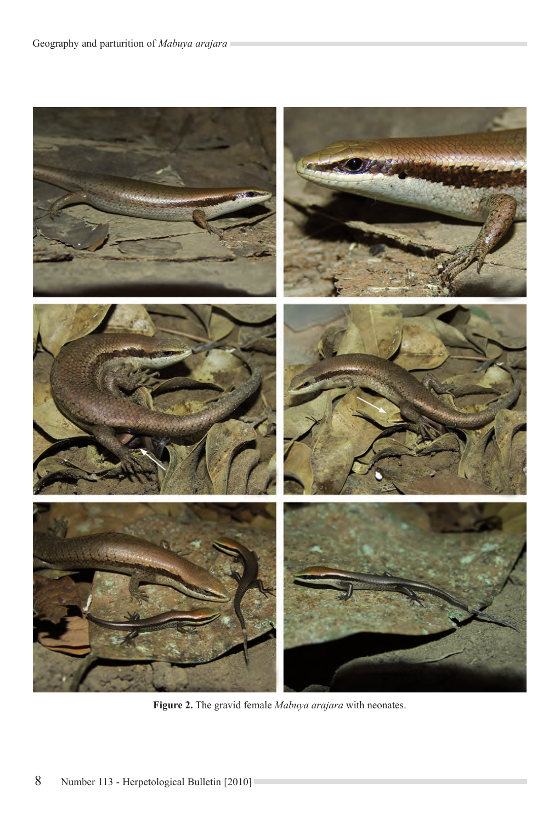# Geography and parturition of Mabuya arajara



Figure 2. The gravid female Mabuya arajara with neonates.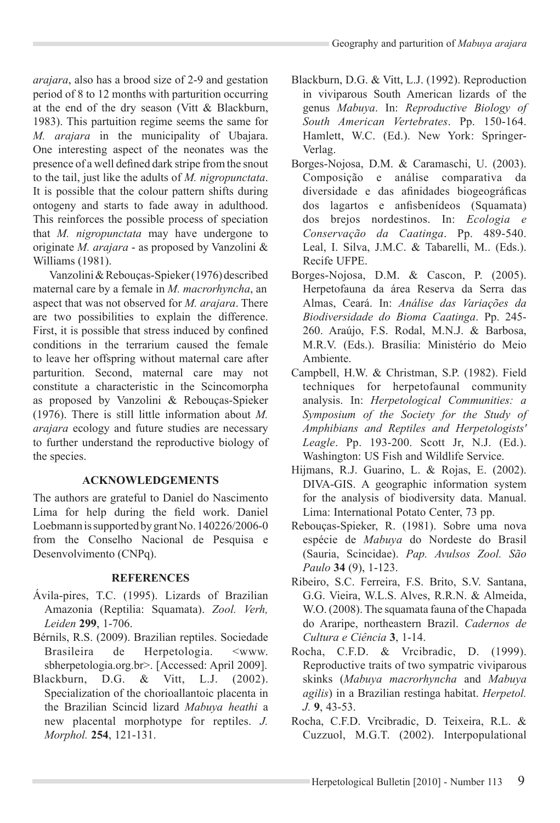*arajara*, also has a brood size of 2-9 and gestation period of 8 to 12 months with parturition occurring at the end of the dry season (Vitt  $& Blackburn,$ 1983). This partuition regime seems the same for *M. arajara* in the municipality of Ubajara. One interesting aspect of the neonates was the presence of a well defined dark stripe from the snout to the tail, just like the adults of M. nigropunctata. It is possible that the colour pattern shifts during ontogeny and starts to fade away in adulthood. This reinforces the possible process of speciation that *M. nigropunctata* may have undergone to originate *M. arajara* - as proposed by Vanzolini & Williams (1981).

Vanzolini & Rebouças-Spieker (1976) described maternal care by a female in *M. macrorhyncha*, an aspect that was not observed for *M. arajara*. There are two possibilities to explain the difference. First, it is possible that stress induced by confined conditions in the terrarium caused the female to leave her offspring without maternal care after parturition. Second, maternal care may not constitute a characteristic in the Scincomorpha as proposed by Vanzolini & Rebouças-Spieker  $(1976)$ . There is still little information about M. *arajara* ecology and future studies are necessary to further understand the reproductive biology of the species.

# **ACKNOWLEDGEMENTS**

The authors are grateful to Daniel do Nascimento Lima for help during the field work. Daniel Loebmann is supported by grant No. 140226/2006-0 from the Conselho Nacional de Pesquisa e Desenvolvimento (CNPq).

#### **REFERENCES**

- Ávila-pires, T.C. (1995). Lizards of Brazilian Amazonia (Reptilia: Squamata). *Zool. Verh, Leiden* **299**, 1-706.
- Bérnils, R.S. (2009). Brazilian reptiles. Sociedade Brasileira de Herpetologia. <www. sbherpetologia.org.br>. [Accessed: April 2009].
- Blackburn, D.G. & Vitt, L.J. (2002). Specialization of the chorioallantoic placenta in the Brazilian Scincid lizard *Mabuya heathi* a new placental morphotype for reptiles, *J. Morphol.* **254**, 121-131.
- Blackburn, D.G. & Vitt, L.J. (1992). Reproduction in viviparous South American lizards of the genus *Mabuya*. In: *Reproductive Biology of South American Vertebrates*. Pp. 150-164. Hamlett, W.C. (Ed.). New York: Springer-Verlag.
- Borges-Nojosa, D.M. & Caramaschi, U. (2003). Composição e análise comparativa da diversidade e das afinidades biogeográficas dos lagartos e anfisbenídeos (Squamata) dos brejos nordestinos. In: *Ecologia e Conservação da Caatinga*. Pp. 489-540. Leal, I. Silva, J.M.C. & Tabarelli, M.. (Eds.). Recife UFPE
- Borges-Nojosa, D.M. & Cascon, P. (2005). Herpetofauna da área Reserva da Serra das Almas, Ceará. In: *Análise das Variações da Biodiversidade do Bioma Caatinga*. Pp. 245- 260. Araújo, F.S. Rodal, M.N.J. & Barbosa, M.R.V. (Eds.). Brasília: Ministério do Meio Ambiente.
- Campbell, H.W. & Christman, S.P. (1982). Field techniques for herpetofaunal community analysis. In: *Herpetological Communities: a Symposium of the Society for the Study of Amphibians and Reptiles and Herpetologists' Leagle*. Pp. 193-200. Scott Jr, N.J. (Ed.). Washington: US Fish and Wildlife Service.
- Hijmans, R.J. Guarino, L. & Rojas, E. (2002). DIVA-GIS. A geographic information system for the analysis of biodiversity data. Manual. Lima: International Potato Center, 73 pp.
- Rebouças-Spieker, R. (1981). Sobre uma nova espécie de *Mabuya* do Nordeste do Brasil (Sauria, Scincidae). *Pap. Avulsos Zool. São Paulo* **34** (9), 1-123.
- Ribeiro, S.C. Ferreira, F.S. Brito, S.V. Santana, G.G. Vieira, W.L.S. Alves, R.R.N. & Almeida, W.O. (2008). The squamata fauna of the Chapada do Araripe, northeastern Brazil. *Cadernos de Cultura e Ciência* **3**, 1-14.
- Rocha, C.F.D. & Vrcibradic, D. (1999). Reproductive traits of two sympatric viviparous skinks (*Mabuya macrorhyncha* and *Mabuya agilis*) in a Brazilian restinga habitat. *Herpetol. J.* **9**, 43-53.
- Rocha, C.F.D. Vrcibradic, D. Teixeira, R.L. & Cuzzuol, M.G.T. (2002). Interpopulational